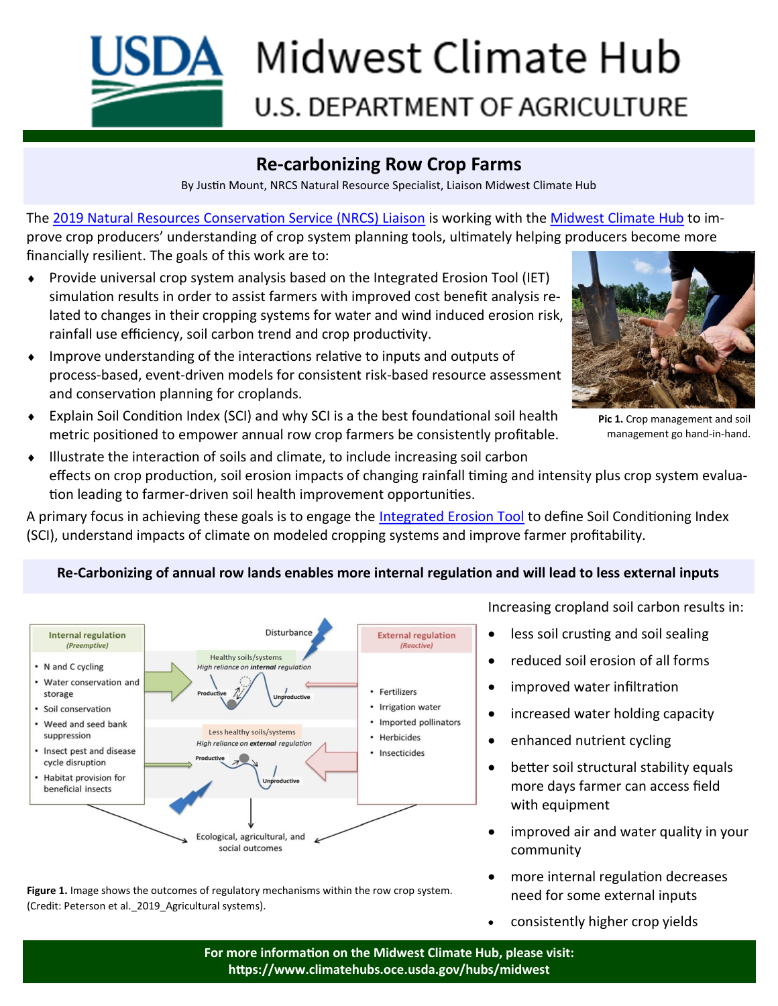

# **Re-carbonizing Row Crop Farms**

By Justin Mount, NRCS Natural Resource Specialist, Liaison Midwest Climate Hub

The [2019 Natural Resources Conservation Service \(NRCS\) Liaison](https://www.climatehubs.oce.usda.gov/hubs/people/justin-mount) is working with the [Midwest Climate Hub](https://www.climatehubs.oce.usda.gov/hubs/midwest) to improve crop producers' understanding of crop system planning tools, ultimately helping producers become more financially resilient. The goals of this work are to:

- Provide universal crop system analysis based on the Integrated Erosion Tool (IET) simulation results in order to assist farmers with improved cost benefit analysis related to changes in their cropping systems for water and wind induced erosion risk, rainfall use efficiency, soil carbon trend and crop productivity.
- Improve understanding of the interactions relative to inputs and outputs of process-based, event-driven models for consistent risk-based resource assessment and conservation planning for croplands.
- Explain Soil Condition Index (SCI) and why SCI is a the best foundational soil health metric positioned to empower annual row crop farmers be consistently profitable.



**Pic 1.** Crop management and soil management go hand-in-hand.

 Illustrate the interaction of soils and climate, to include increasing soil carbon effects on crop production, soil erosion impacts of changing rainfall timing and intensity plus crop system evaluation leading to farmer-driven soil health improvement opportunities.

A primary focus in achieving these goals is to engage the [Integrated Erosion Tool](https://alm.engr.colostate.edu/cb/dir/43757) to define Soil Conditioning Index (SCI), understand impacts of climate on modeled cropping systems and improve farmer profitability.



#### **Re-Carbonizing of annual row lands enables more internal regulation and will lead to less external inputs**

**Figure 1.** Image shows the outcomes of regulatory mechanisms within the row crop system. (Credit: Peterson et al.\_2019\_Agricultural systems).

Increasing cropland soil carbon results in:

- less soil crusting and soil sealing
- reduced soil erosion of all forms
- improved water infiltration
- increased water holding capacity
- enhanced nutrient cycling
- better soil structural stability equals more days farmer can access field with equipment
- improved air and water quality in your community
- more internal regulation decreases need for some external inputs
- consistently higher crop yields